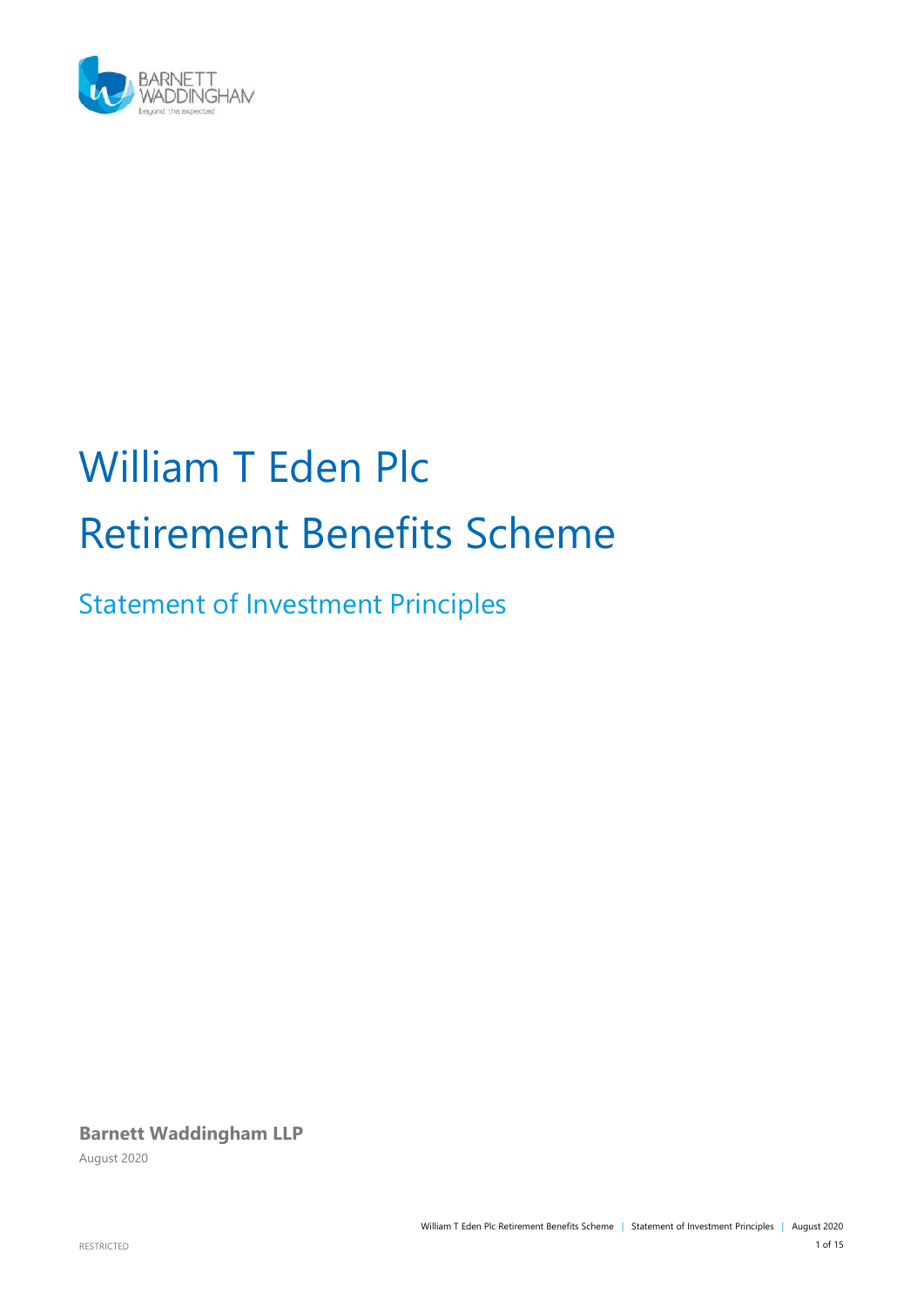

# William T Eden Plc Retirement Benefits Scheme

Statement of Investment Principles

**Barnett Waddingham LLP**

August 2020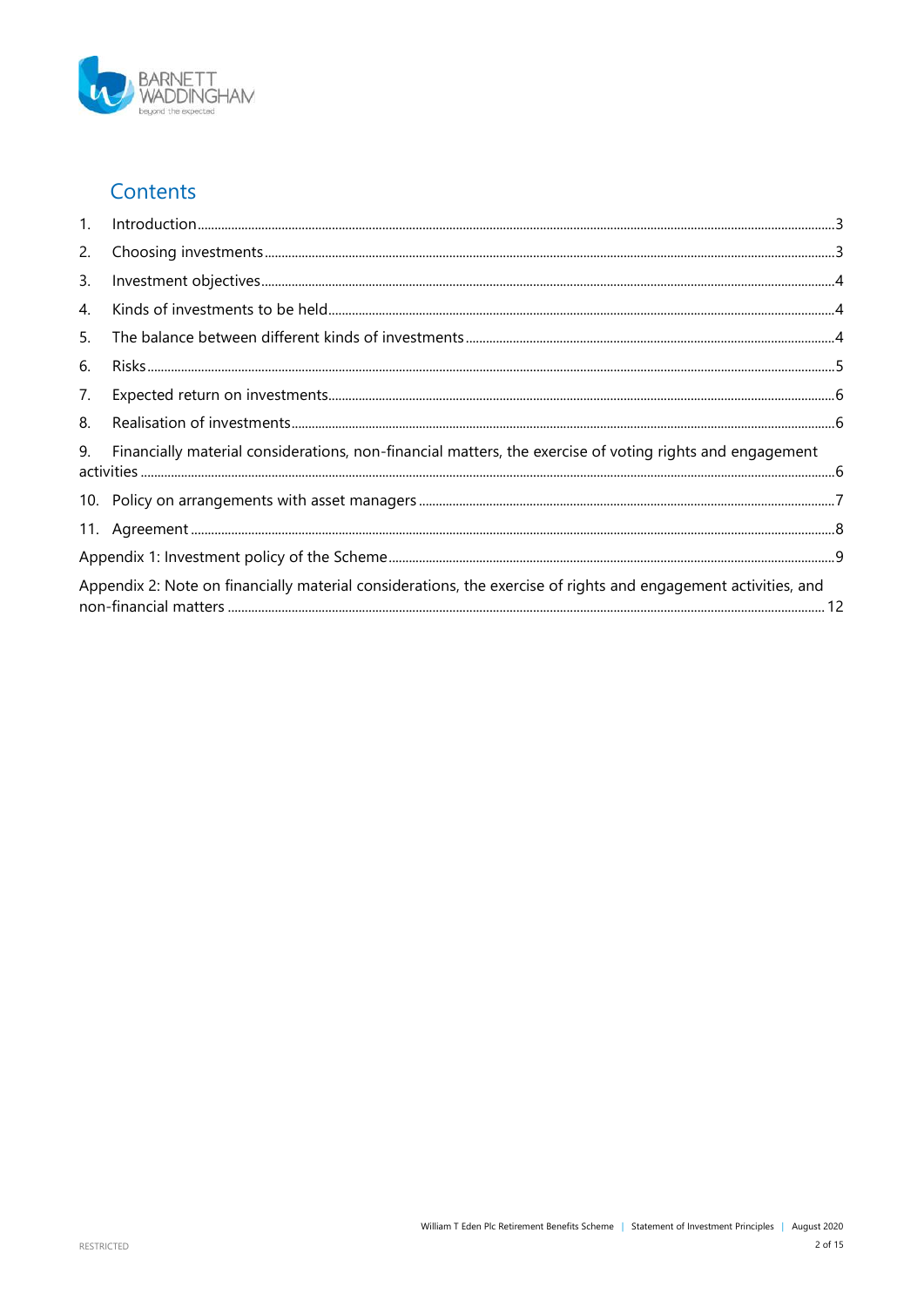

#### Contents

| 1.                                                                                                             | $\label{eq:1} \noindent \textbf{Introduction} \textcolor{red}{\textbf{1} \textbf{1} \textbf{1} \textbf{1} \textbf{1} \textbf{2} \textbf{3} \textbf{3}}$ |  |
|----------------------------------------------------------------------------------------------------------------|---------------------------------------------------------------------------------------------------------------------------------------------------------|--|
| 2.                                                                                                             |                                                                                                                                                         |  |
| 3.                                                                                                             |                                                                                                                                                         |  |
| $\overline{4}$ .                                                                                               |                                                                                                                                                         |  |
| 5.                                                                                                             |                                                                                                                                                         |  |
| 6.                                                                                                             |                                                                                                                                                         |  |
| 7.                                                                                                             |                                                                                                                                                         |  |
| 8.                                                                                                             |                                                                                                                                                         |  |
| 9.                                                                                                             | Financially material considerations, non-financial matters, the exercise of voting rights and engagement                                                |  |
|                                                                                                                |                                                                                                                                                         |  |
|                                                                                                                |                                                                                                                                                         |  |
|                                                                                                                |                                                                                                                                                         |  |
| Appendix 2: Note on financially material considerations, the exercise of rights and engagement activities, and |                                                                                                                                                         |  |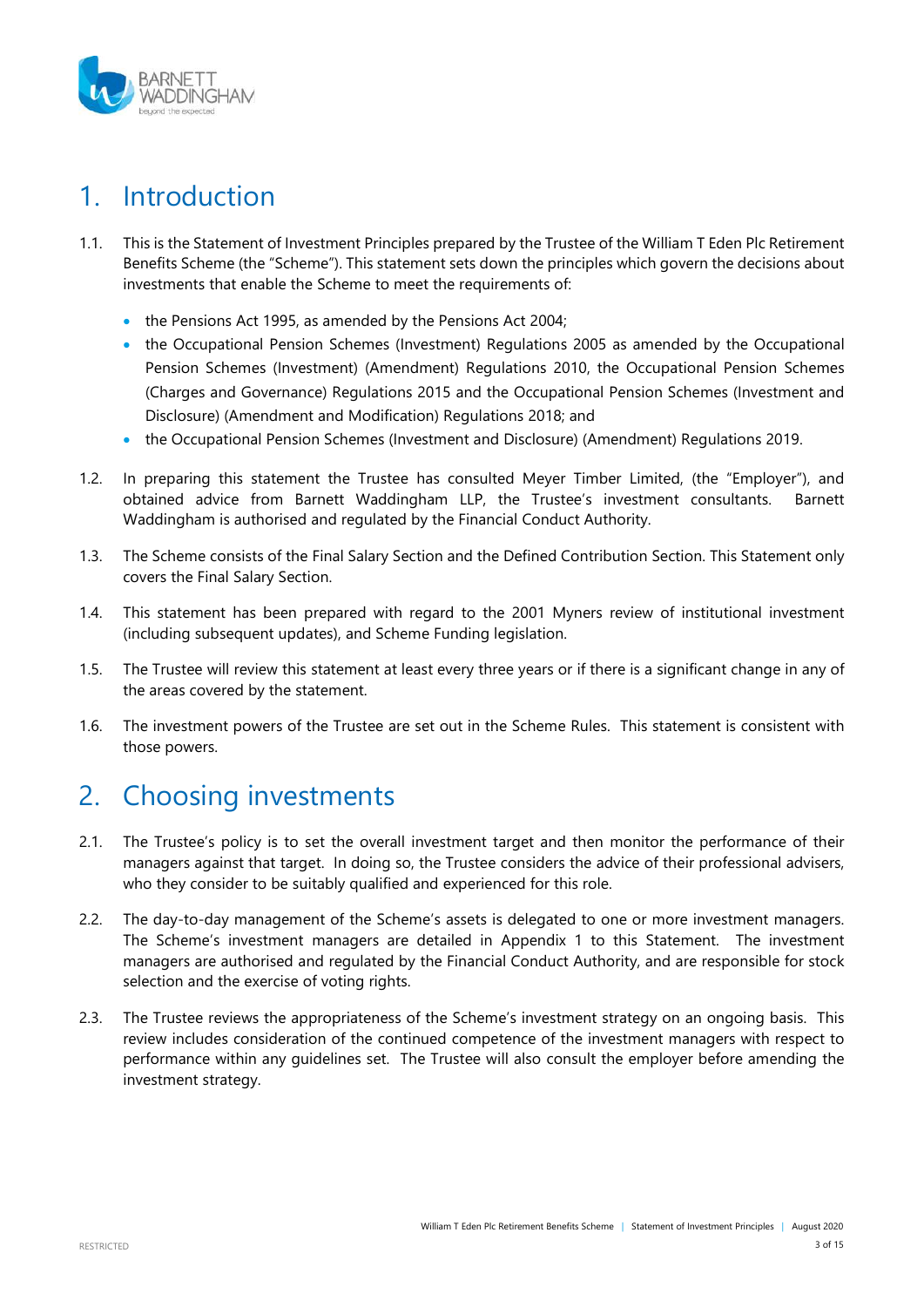

# <span id="page-2-0"></span>1. Introduction

- 1.1. This is the Statement of Investment Principles prepared by the Trustee of the William T Eden Plc Retirement Benefits Scheme (the "Scheme"). This statement sets down the principles which govern the decisions about investments that enable the Scheme to meet the requirements of:
	- the Pensions Act 1995, as amended by the Pensions Act 2004;
	- the Occupational Pension Schemes (Investment) Regulations 2005 as amended by the Occupational Pension Schemes (Investment) (Amendment) Regulations 2010, the Occupational Pension Schemes (Charges and Governance) Regulations 2015 and the Occupational Pension Schemes (Investment and Disclosure) (Amendment and Modification) Regulations 2018; and
	- the Occupational Pension Schemes (Investment and Disclosure) (Amendment) Regulations 2019.
- 1.2. In preparing this statement the Trustee has consulted Meyer Timber Limited, (the "Employer"), and obtained advice from Barnett Waddingham LLP, the Trustee's investment consultants. Barnett Waddingham is authorised and regulated by the Financial Conduct Authority.
- 1.3. The Scheme consists of the Final Salary Section and the Defined Contribution Section. This Statement only covers the Final Salary Section.
- 1.4. This statement has been prepared with regard to the 2001 Myners review of institutional investment (including subsequent updates), and Scheme Funding legislation.
- 1.5. The Trustee will review this statement at least every three years or if there is a significant change in any of the areas covered by the statement.
- 1.6. The investment powers of the Trustee are set out in the Scheme Rules. This statement is consistent with those powers.

### <span id="page-2-1"></span>2. Choosing investments

- 2.1. The Trustee's policy is to set the overall investment target and then monitor the performance of their managers against that target. In doing so, the Trustee considers the advice of their professional advisers, who they consider to be suitably qualified and experienced for this role.
- 2.2. The day-to-day management of the Scheme's assets is delegated to one or more investment managers. The Scheme's investment managers are detailed in Appendix 1 to this Statement. The investment managers are authorised and regulated by the Financial Conduct Authority, and are responsible for stock selection and the exercise of voting rights.
- 2.3. The Trustee reviews the appropriateness of the Scheme's investment strategy on an ongoing basis. This review includes consideration of the continued competence of the investment managers with respect to performance within any guidelines set. The Trustee will also consult the employer before amending the investment strategy.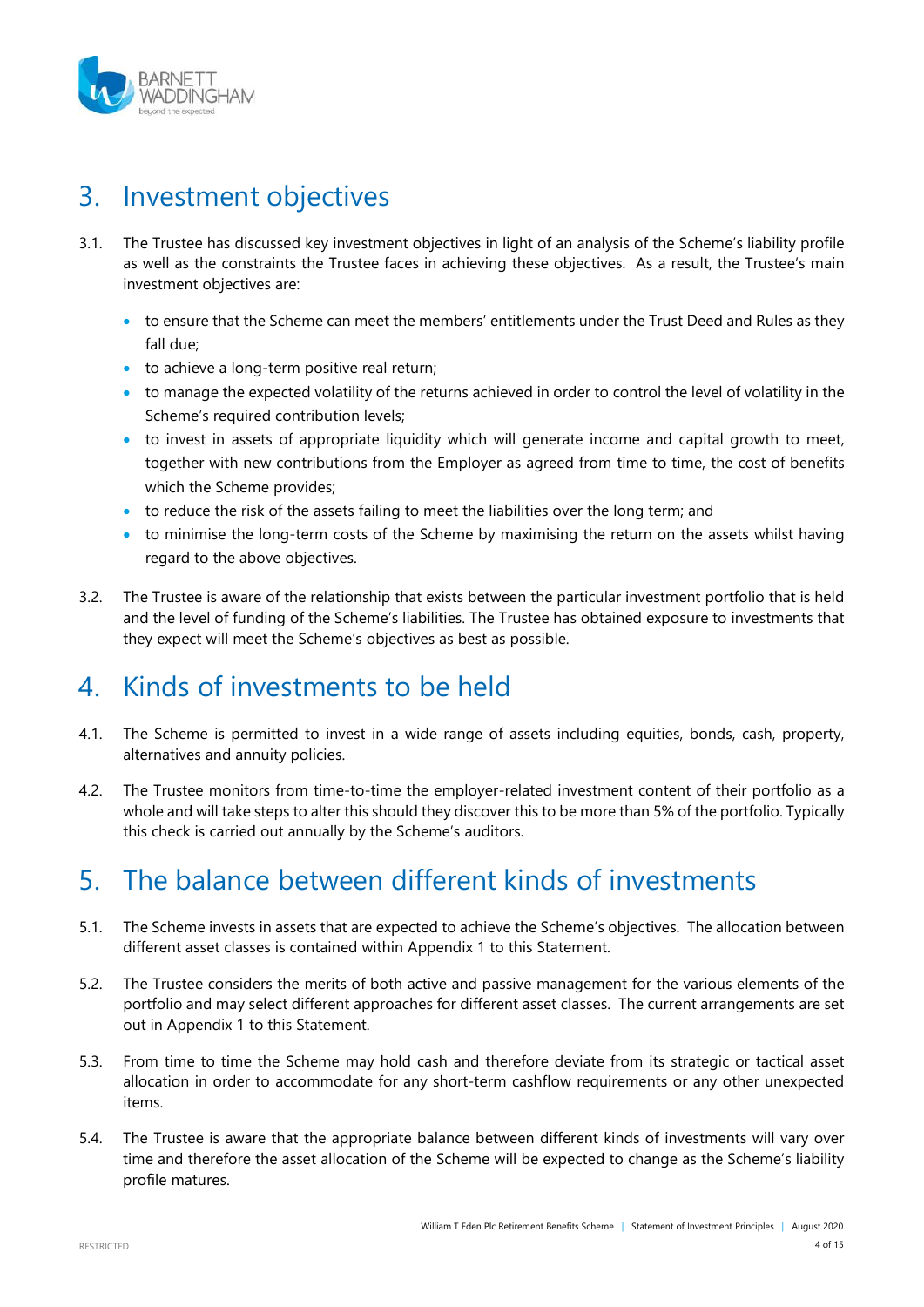

### <span id="page-3-0"></span>3. Investment objectives

- 3.1. The Trustee has discussed key investment objectives in light of an analysis of the Scheme's liability profile as well as the constraints the Trustee faces in achieving these objectives. As a result, the Trustee's main investment objectives are:
	- to ensure that the Scheme can meet the members' entitlements under the Trust Deed and Rules as they fall due;
	- to achieve a long-term positive real return;
	- to manage the expected volatility of the returns achieved in order to control the level of volatility in the Scheme's required contribution levels;
	- to invest in assets of appropriate liquidity which will generate income and capital growth to meet, together with new contributions from the Employer as agreed from time to time, the cost of benefits which the Scheme provides;
	- to reduce the risk of the assets failing to meet the liabilities over the long term; and
	- to minimise the long-term costs of the Scheme by maximising the return on the assets whilst having regard to the above objectives.
- 3.2. The Trustee is aware of the relationship that exists between the particular investment portfolio that is held and the level of funding of the Scheme's liabilities. The Trustee has obtained exposure to investments that they expect will meet the Scheme's objectives as best as possible.

# <span id="page-3-1"></span>4. Kinds of investments to be held

- 4.1. The Scheme is permitted to invest in a wide range of assets including equities, bonds, cash, property, alternatives and annuity policies.
- 4.2. The Trustee monitors from time-to-time the employer-related investment content of their portfolio as a whole and will take steps to alter this should they discover this to be more than 5% of the portfolio. Typically this check is carried out annually by the Scheme's auditors.

# <span id="page-3-2"></span>5. The balance between different kinds of investments

- 5.1. The Scheme invests in assets that are expected to achieve the Scheme's objectives. The allocation between different asset classes is contained within Appendix 1 to this Statement.
- 5.2. The Trustee considers the merits of both active and passive management for the various elements of the portfolio and may select different approaches for different asset classes. The current arrangements are set out in Appendix 1 to this Statement.
- 5.3. From time to time the Scheme may hold cash and therefore deviate from its strategic or tactical asset allocation in order to accommodate for any short-term cashflow requirements or any other unexpected items.
- 5.4. The Trustee is aware that the appropriate balance between different kinds of investments will vary over time and therefore the asset allocation of the Scheme will be expected to change as the Scheme's liability profile matures.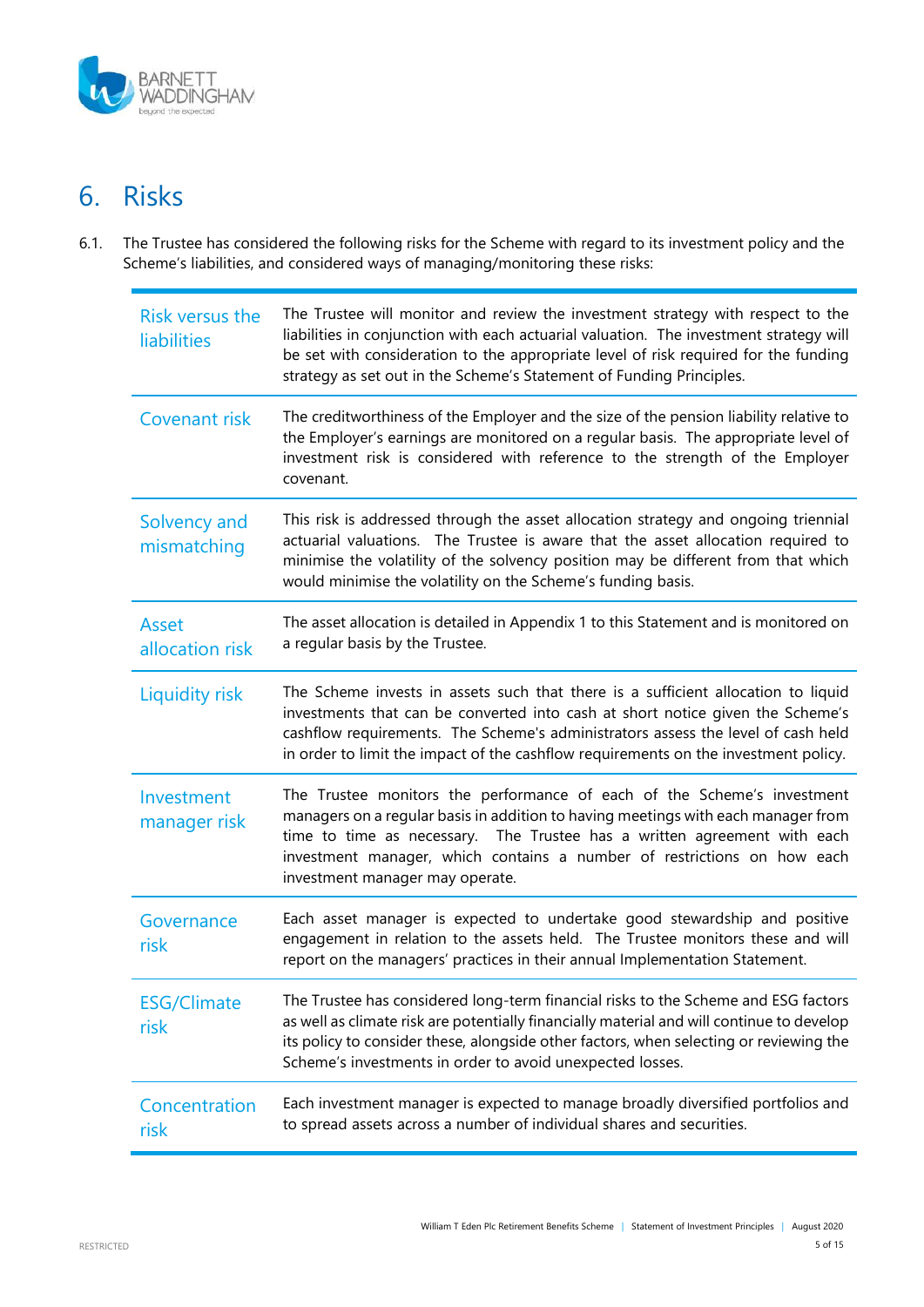

# <span id="page-4-0"></span>6. Risks

6.1. The Trustee has considered the following risks for the Scheme with regard to its investment policy and the Scheme's liabilities, and considered ways of managing/monitoring these risks:

| Risk versus the<br><b>liabilities</b> | The Trustee will monitor and review the investment strategy with respect to the<br>liabilities in conjunction with each actuarial valuation. The investment strategy will<br>be set with consideration to the appropriate level of risk required for the funding<br>strategy as set out in the Scheme's Statement of Funding Principles.               |
|---------------------------------------|--------------------------------------------------------------------------------------------------------------------------------------------------------------------------------------------------------------------------------------------------------------------------------------------------------------------------------------------------------|
| Covenant risk                         | The creditworthiness of the Employer and the size of the pension liability relative to<br>the Employer's earnings are monitored on a regular basis. The appropriate level of<br>investment risk is considered with reference to the strength of the Employer<br>covenant.                                                                              |
| Solvency and<br>mismatching           | This risk is addressed through the asset allocation strategy and ongoing triennial<br>actuarial valuations. The Trustee is aware that the asset allocation required to<br>minimise the volatility of the solvency position may be different from that which<br>would minimise the volatility on the Scheme's funding basis.                            |
| Asset<br>allocation risk              | The asset allocation is detailed in Appendix 1 to this Statement and is monitored on<br>a regular basis by the Trustee.                                                                                                                                                                                                                                |
| <b>Liquidity risk</b>                 | The Scheme invests in assets such that there is a sufficient allocation to liquid<br>investments that can be converted into cash at short notice given the Scheme's<br>cashflow requirements. The Scheme's administrators assess the level of cash held<br>in order to limit the impact of the cashflow requirements on the investment policy.         |
| Investment<br>manager risk            | The Trustee monitors the performance of each of the Scheme's investment<br>managers on a regular basis in addition to having meetings with each manager from<br>time to time as necessary. The Trustee has a written agreement with each<br>investment manager, which contains a number of restrictions on how each<br>investment manager may operate. |
| Governance<br>risk                    | Each asset manager is expected to undertake good stewardship and positive<br>engagement in relation to the assets held. The Trustee monitors these and will<br>report on the managers' practices in their annual Implementation Statement.                                                                                                             |
| <b>ESG/Climate</b><br>risk            | The Trustee has considered long-term financial risks to the Scheme and ESG factors<br>as well as climate risk are potentially financially material and will continue to develop<br>its policy to consider these, alongside other factors, when selecting or reviewing the<br>Scheme's investments in order to avoid unexpected losses.                 |
| Concentration<br>risk                 | Each investment manager is expected to manage broadly diversified portfolios and<br>to spread assets across a number of individual shares and securities.                                                                                                                                                                                              |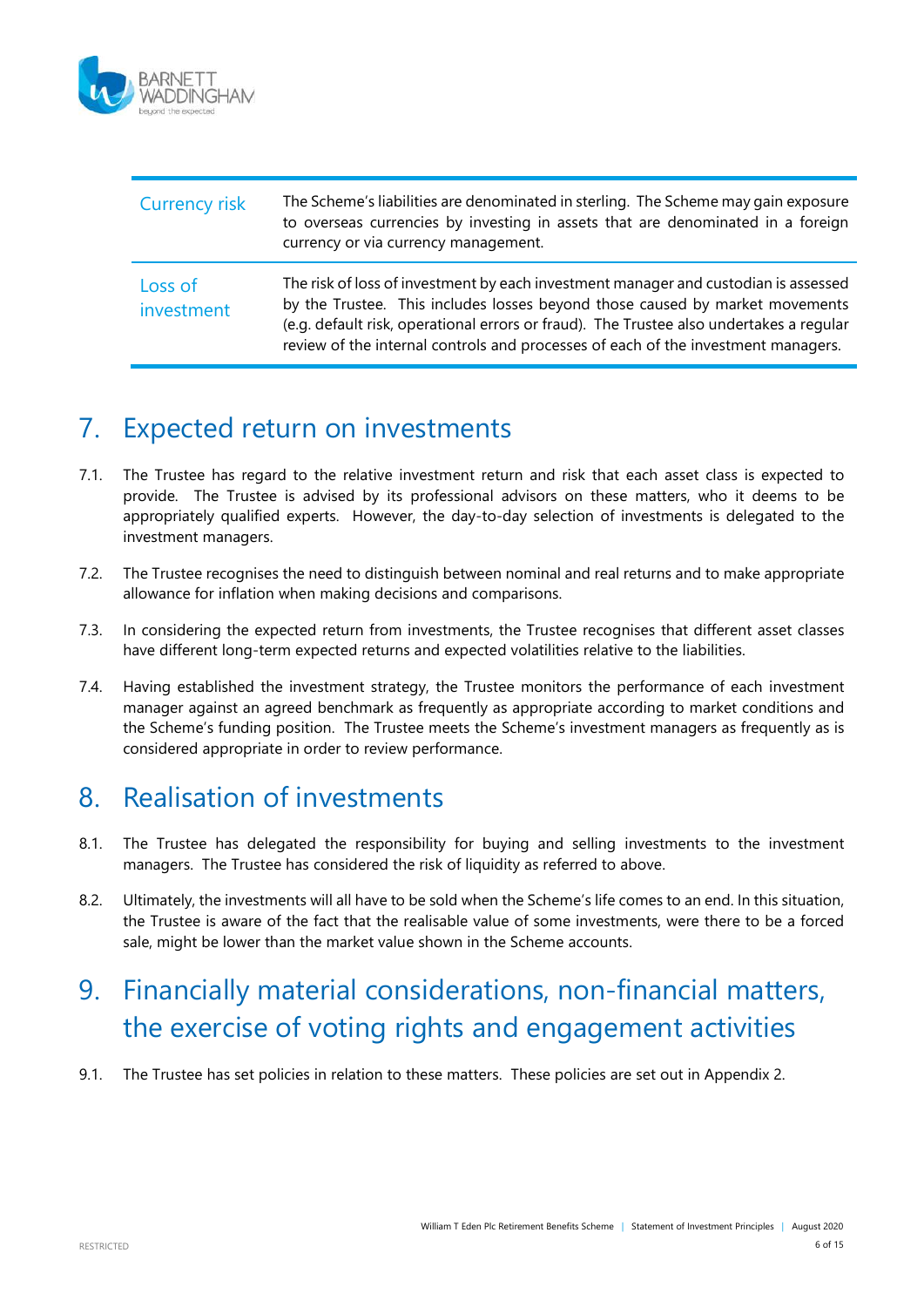

| <b>Currency risk</b>  | The Scheme's liabilities are denominated in sterling. The Scheme may gain exposure<br>to overseas currencies by investing in assets that are denominated in a foreign<br>currency or via currency management.                                                                                                                                       |
|-----------------------|-----------------------------------------------------------------------------------------------------------------------------------------------------------------------------------------------------------------------------------------------------------------------------------------------------------------------------------------------------|
| Loss of<br>investment | The risk of loss of investment by each investment manager and custodian is assessed<br>by the Trustee. This includes losses beyond those caused by market movements<br>(e.g. default risk, operational errors or fraud). The Trustee also undertakes a regular<br>review of the internal controls and processes of each of the investment managers. |

### <span id="page-5-0"></span>7. Expected return on investments

- 7.1. The Trustee has regard to the relative investment return and risk that each asset class is expected to provide. The Trustee is advised by its professional advisors on these matters, who it deems to be appropriately qualified experts. However, the day-to-day selection of investments is delegated to the investment managers.
- 7.2. The Trustee recognises the need to distinguish between nominal and real returns and to make appropriate allowance for inflation when making decisions and comparisons.
- 7.3. In considering the expected return from investments, the Trustee recognises that different asset classes have different long-term expected returns and expected volatilities relative to the liabilities.
- 7.4. Having established the investment strategy, the Trustee monitors the performance of each investment manager against an agreed benchmark as frequently as appropriate according to market conditions and the Scheme's funding position. The Trustee meets the Scheme's investment managers as frequently as is considered appropriate in order to review performance.

### <span id="page-5-1"></span>8. Realisation of investments

- 8.1. The Trustee has delegated the responsibility for buying and selling investments to the investment managers. The Trustee has considered the risk of liquidity as referred to above.
- 8.2. Ultimately, the investments will all have to be sold when the Scheme's life comes to an end. In this situation, the Trustee is aware of the fact that the realisable value of some investments, were there to be a forced sale, might be lower than the market value shown in the Scheme accounts.

# <span id="page-5-2"></span>9. Financially material considerations, non-financial matters, the exercise of voting rights and engagement activities

9.1. The Trustee has set policies in relation to these matters. These policies are set out in Appendix 2.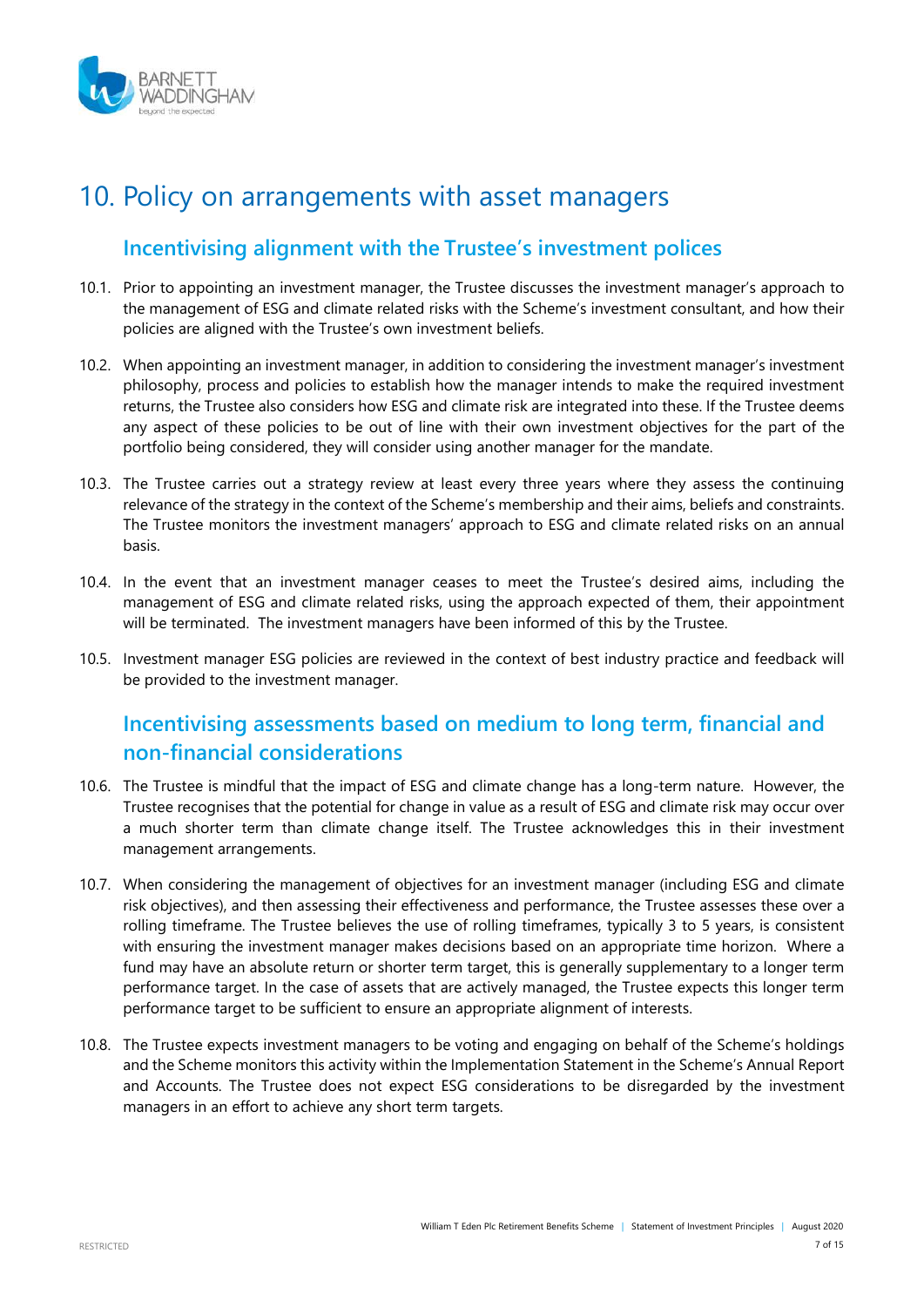

### <span id="page-6-0"></span>10. Policy on arrangements with asset managers

#### **Incentivising alignment with the Trustee's investment polices**

- 10.1. Prior to appointing an investment manager, the Trustee discusses the investment manager's approach to the management of ESG and climate related risks with the Scheme's investment consultant, and how their policies are aligned with the Trustee's own investment beliefs.
- 10.2. When appointing an investment manager, in addition to considering the investment manager's investment philosophy, process and policies to establish how the manager intends to make the required investment returns, the Trustee also considers how ESG and climate risk are integrated into these. If the Trustee deems any aspect of these policies to be out of line with their own investment objectives for the part of the portfolio being considered, they will consider using another manager for the mandate.
- 10.3. The Trustee carries out a strategy review at least every three years where they assess the continuing relevance of the strategy in the context of the Scheme's membership and their aims, beliefs and constraints. The Trustee monitors the investment managers' approach to ESG and climate related risks on an annual basis.
- 10.4. In the event that an investment manager ceases to meet the Trustee's desired aims, including the management of ESG and climate related risks, using the approach expected of them, their appointment will be terminated. The investment managers have been informed of this by the Trustee.
- 10.5. Investment manager ESG policies are reviewed in the context of best industry practice and feedback will be provided to the investment manager.

#### **Incentivising assessments based on medium to long term, financial and non-financial considerations**

- 10.6. The Trustee is mindful that the impact of ESG and climate change has a long-term nature. However, the Trustee recognises that the potential for change in value as a result of ESG and climate risk may occur over a much shorter term than climate change itself. The Trustee acknowledges this in their investment management arrangements.
- 10.7. When considering the management of objectives for an investment manager (including ESG and climate risk objectives), and then assessing their effectiveness and performance, the Trustee assesses these over a rolling timeframe. The Trustee believes the use of rolling timeframes, typically 3 to 5 years, is consistent with ensuring the investment manager makes decisions based on an appropriate time horizon. Where a fund may have an absolute return or shorter term target, this is generally supplementary to a longer term performance target. In the case of assets that are actively managed, the Trustee expects this longer term performance target to be sufficient to ensure an appropriate alignment of interests.
- 10.8. The Trustee expects investment managers to be voting and engaging on behalf of the Scheme's holdings and the Scheme monitors this activity within the Implementation Statement in the Scheme's Annual Report and Accounts. The Trustee does not expect ESG considerations to be disregarded by the investment managers in an effort to achieve any short term targets.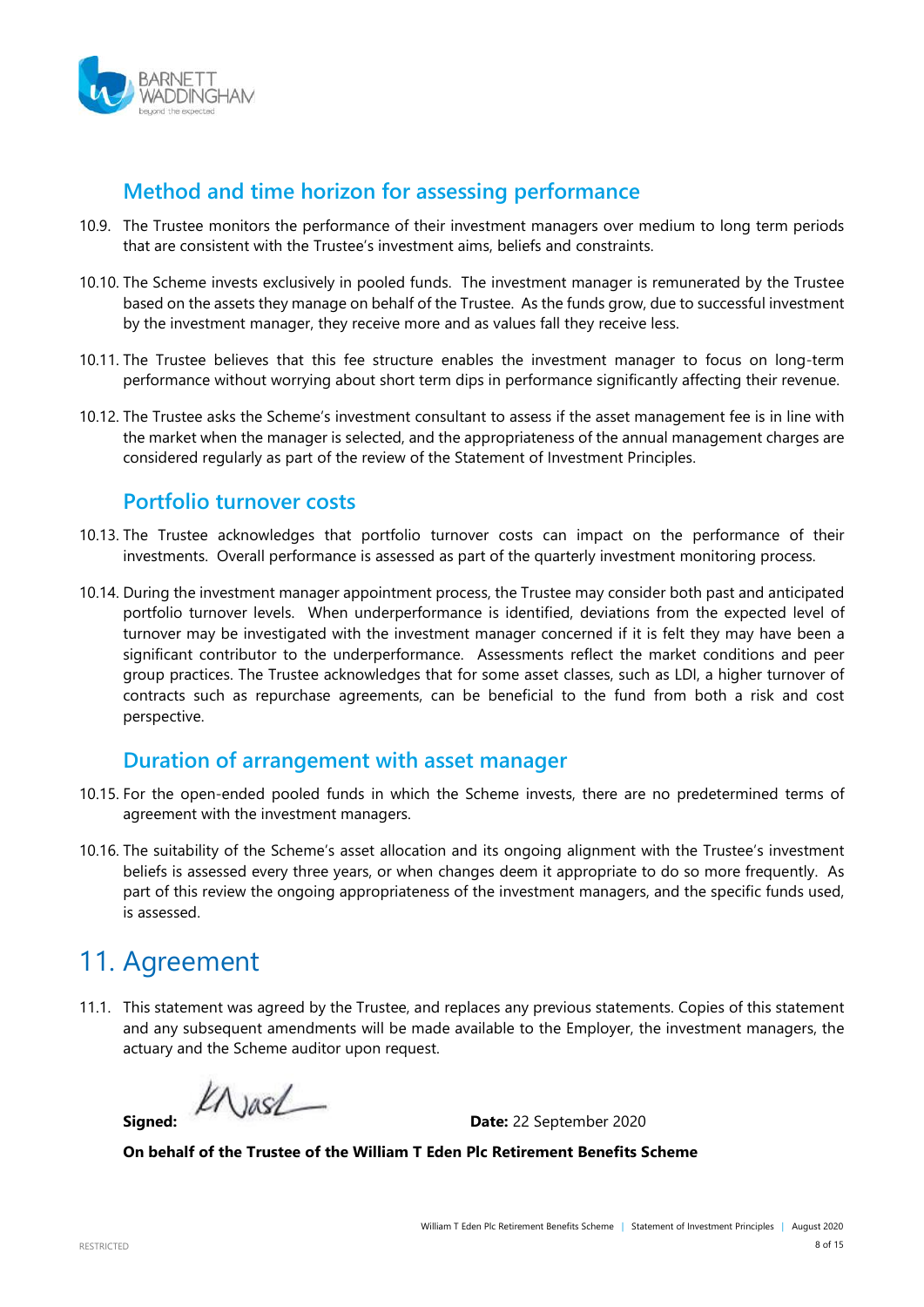

#### **Method and time horizon for assessing performance**

- 10.9. The Trustee monitors the performance of their investment managers over medium to long term periods that are consistent with the Trustee's investment aims, beliefs and constraints.
- 10.10. The Scheme invests exclusively in pooled funds. The investment manager is remunerated by the Trustee based on the assets they manage on behalf of the Trustee. As the funds grow, due to successful investment by the investment manager, they receive more and as values fall they receive less.
- 10.11. The Trustee believes that this fee structure enables the investment manager to focus on long-term performance without worrying about short term dips in performance significantly affecting their revenue.
- 10.12. The Trustee asks the Scheme's investment consultant to assess if the asset management fee is in line with the market when the manager is selected, and the appropriateness of the annual management charges are considered regularly as part of the review of the Statement of Investment Principles.

#### **Portfolio turnover costs**

- 10.13. The Trustee acknowledges that portfolio turnover costs can impact on the performance of their investments. Overall performance is assessed as part of the quarterly investment monitoring process.
- 10.14. During the investment manager appointment process, the Trustee may consider both past and anticipated portfolio turnover levels. When underperformance is identified, deviations from the expected level of turnover may be investigated with the investment manager concerned if it is felt they may have been a significant contributor to the underperformance. Assessments reflect the market conditions and peer group practices. The Trustee acknowledges that for some asset classes, such as LDI, a higher turnover of contracts such as repurchase agreements, can be beneficial to the fund from both a risk and cost perspective.

#### **Duration of arrangement with asset manager**

- 10.15. For the open-ended pooled funds in which the Scheme invests, there are no predetermined terms of agreement with the investment managers.
- 10.16. The suitability of the Scheme's asset allocation and its ongoing alignment with the Trustee's investment beliefs is assessed every three years, or when changes deem it appropriate to do so more frequently. As part of this review the ongoing appropriateness of the investment managers, and the specific funds used, is assessed.

### <span id="page-7-0"></span>11. Agreement

11.1. This statement was agreed by the Trustee, and replaces any previous statements. Copies of this statement and any subsequent amendments will be made available to the Employer, the investment managers, the actuary and the Scheme auditor upon request.

KNASL

**Signed: Date:** 22 September 2020

**On behalf of the Trustee of the William T Eden Plc Retirement Benefits Scheme**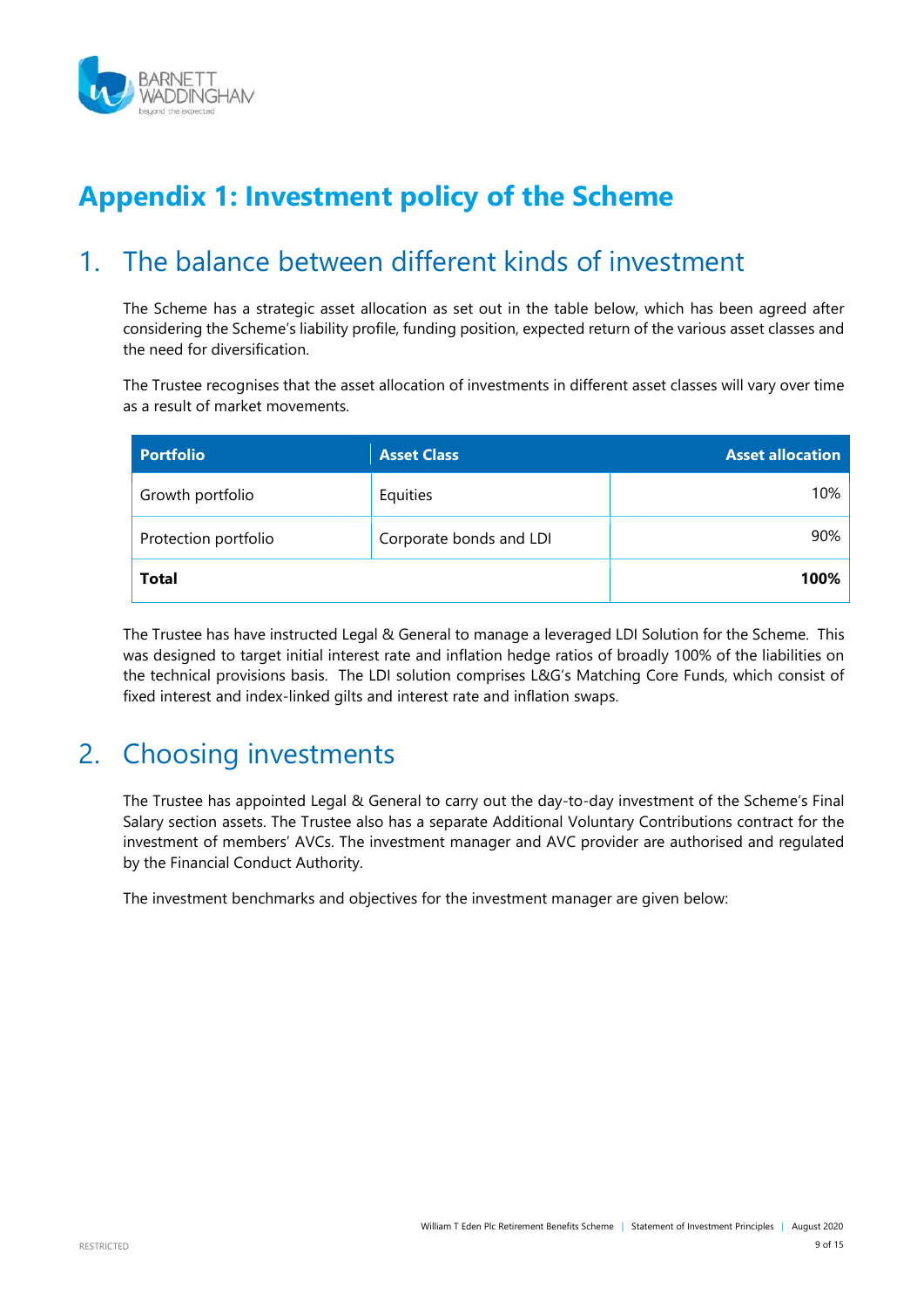

# **Appendix 1: Investment policy of the Scheme**

### <span id="page-8-0"></span>1. The balance between different kinds of investment

The Scheme has a strategic asset allocation as set out in the table below, which has been agreed after considering the Scheme's liability profile, funding position, expected return of the various asset classes and the need for diversification.

The Trustee recognises that the asset allocation of investments in different asset classes will vary over time as a result of market movements.

| <b>Portfolio</b>     | <b>Asset Class</b>      | <b>Asset allocation</b> |
|----------------------|-------------------------|-------------------------|
| Growth portfolio     | Equities                | 10%                     |
| Protection portfolio | Corporate bonds and LDI | 90%                     |
| <b>Total</b>         | 100%                    |                         |

The Trustee has have instructed Legal & General to manage a leveraged LDI Solution for the Scheme. This was designed to target initial interest rate and inflation hedge ratios of broadly 100% of the liabilities on the technical provisions basis. The LDI solution comprises L&G's Matching Core Funds, which consist of fixed interest and index-linked gilts and interest rate and inflation swaps.

# <span id="page-8-1"></span>2. Choosing investments

The Trustee has appointed Legal & General to carry out the day-to-day investment of the Scheme's Final Salary section assets. The Trustee also has a separate Additional Voluntary Contributions contract for the investment of members' AVCs. The investment manager and AVC provider are authorised and regulated by the Financial Conduct Authority.

The investment benchmarks and objectives for the investment manager are given below: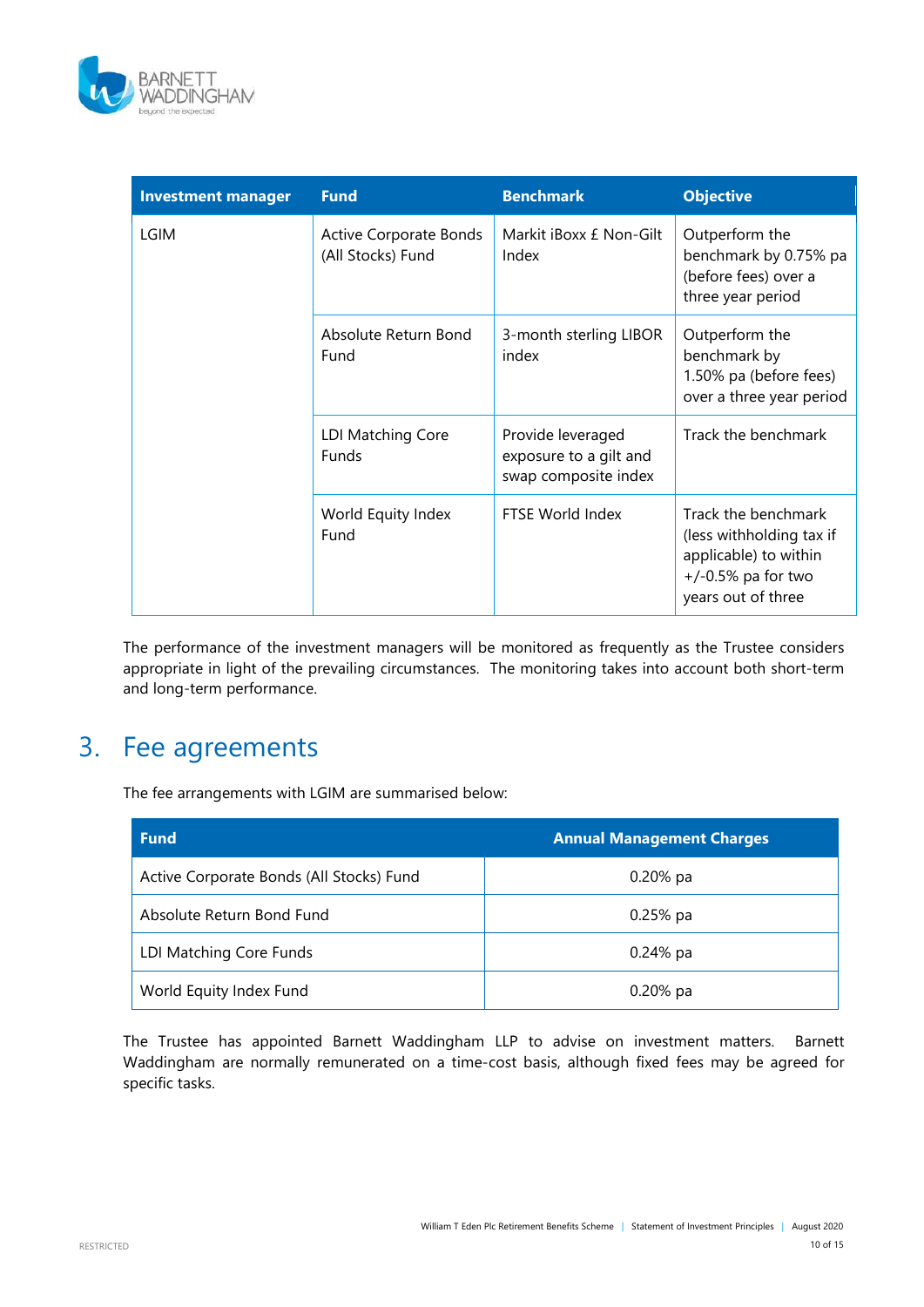

| <b>Investment manager</b> | <b>Fund</b>                                        | <b>Benchmark</b>                                                    | <b>Objective</b>                                                                                                        |
|---------------------------|----------------------------------------------------|---------------------------------------------------------------------|-------------------------------------------------------------------------------------------------------------------------|
| <b>LGIM</b>               | <b>Active Corporate Bonds</b><br>(All Stocks) Fund | Markit iBoxx £ Non-Gilt<br>Index                                    | Outperform the<br>benchmark by 0.75% pa<br>(before fees) over a<br>three year period                                    |
|                           | Absolute Return Bond<br>Fund                       | 3-month sterling LIBOR<br>index                                     | Outperform the<br>benchmark by<br>1.50% pa (before fees)<br>over a three year period                                    |
|                           | LDI Matching Core<br><b>Funds</b>                  | Provide leveraged<br>exposure to a gilt and<br>swap composite index | Track the benchmark                                                                                                     |
|                           | World Equity Index<br>Fund                         | FTSE World Index                                                    | Track the benchmark<br>(less withholding tax if<br>applicable) to within<br>$+/-0.5\%$ pa for two<br>years out of three |

The performance of the investment managers will be monitored as frequently as the Trustee considers appropriate in light of the prevailing circumstances. The monitoring takes into account both short-term and long-term performance.

### 3. Fee agreements

The fee arrangements with LGIM are summarised below:

| <b>Fund</b>                              | <b>Annual Management Charges</b> |
|------------------------------------------|----------------------------------|
| Active Corporate Bonds (All Stocks) Fund | $0.20\%$ pa                      |
| Absolute Return Bond Fund                | $0.25%$ pa                       |
| LDI Matching Core Funds                  | $0.24%$ pa                       |
| World Equity Index Fund                  | $0.20%$ pa                       |

The Trustee has appointed Barnett Waddingham LLP to advise on investment matters. Barnett Waddingham are normally remunerated on a time-cost basis, although fixed fees may be agreed for specific tasks.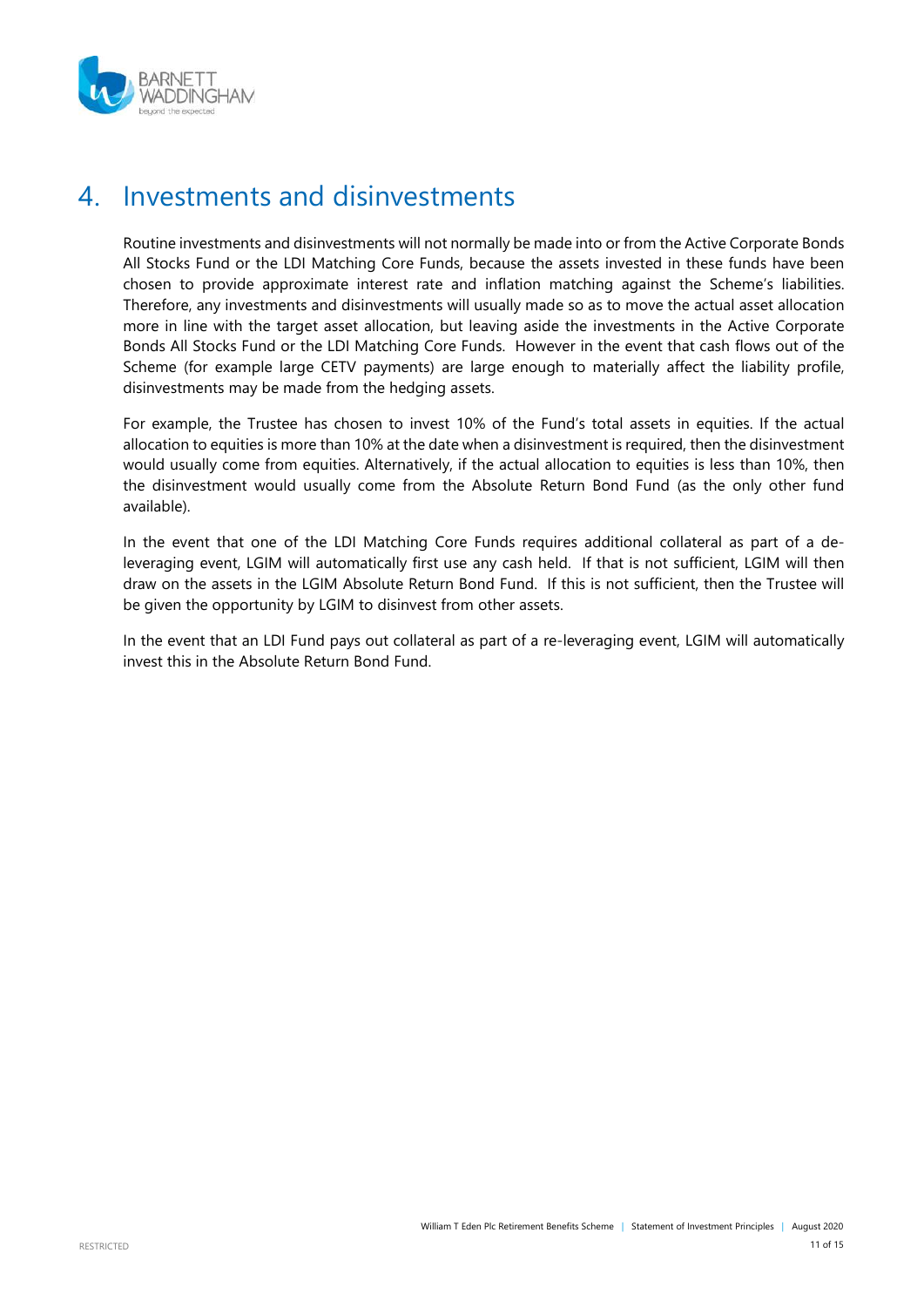

### 4. Investments and disinvestments

Routine investments and disinvestments will not normally be made into or from the Active Corporate Bonds All Stocks Fund or the LDI Matching Core Funds, because the assets invested in these funds have been chosen to provide approximate interest rate and inflation matching against the Scheme's liabilities. Therefore, any investments and disinvestments will usually made so as to move the actual asset allocation more in line with the target asset allocation, but leaving aside the investments in the Active Corporate Bonds All Stocks Fund or the LDI Matching Core Funds. However in the event that cash flows out of the Scheme (for example large CETV payments) are large enough to materially affect the liability profile, disinvestments may be made from the hedging assets.

For example, the Trustee has chosen to invest 10% of the Fund's total assets in equities. If the actual allocation to equities is more than 10% at the date when a disinvestment is required, then the disinvestment would usually come from equities. Alternatively, if the actual allocation to equities is less than 10%, then the disinvestment would usually come from the Absolute Return Bond Fund (as the only other fund available).

In the event that one of the LDI Matching Core Funds requires additional collateral as part of a deleveraging event, LGIM will automatically first use any cash held. If that is not sufficient, LGIM will then draw on the assets in the LGIM Absolute Return Bond Fund. If this is not sufficient, then the Trustee will be given the opportunity by LGIM to disinvest from other assets.

In the event that an LDI Fund pays out collateral as part of a re-leveraging event, LGIM will automatically invest this in the Absolute Return Bond Fund.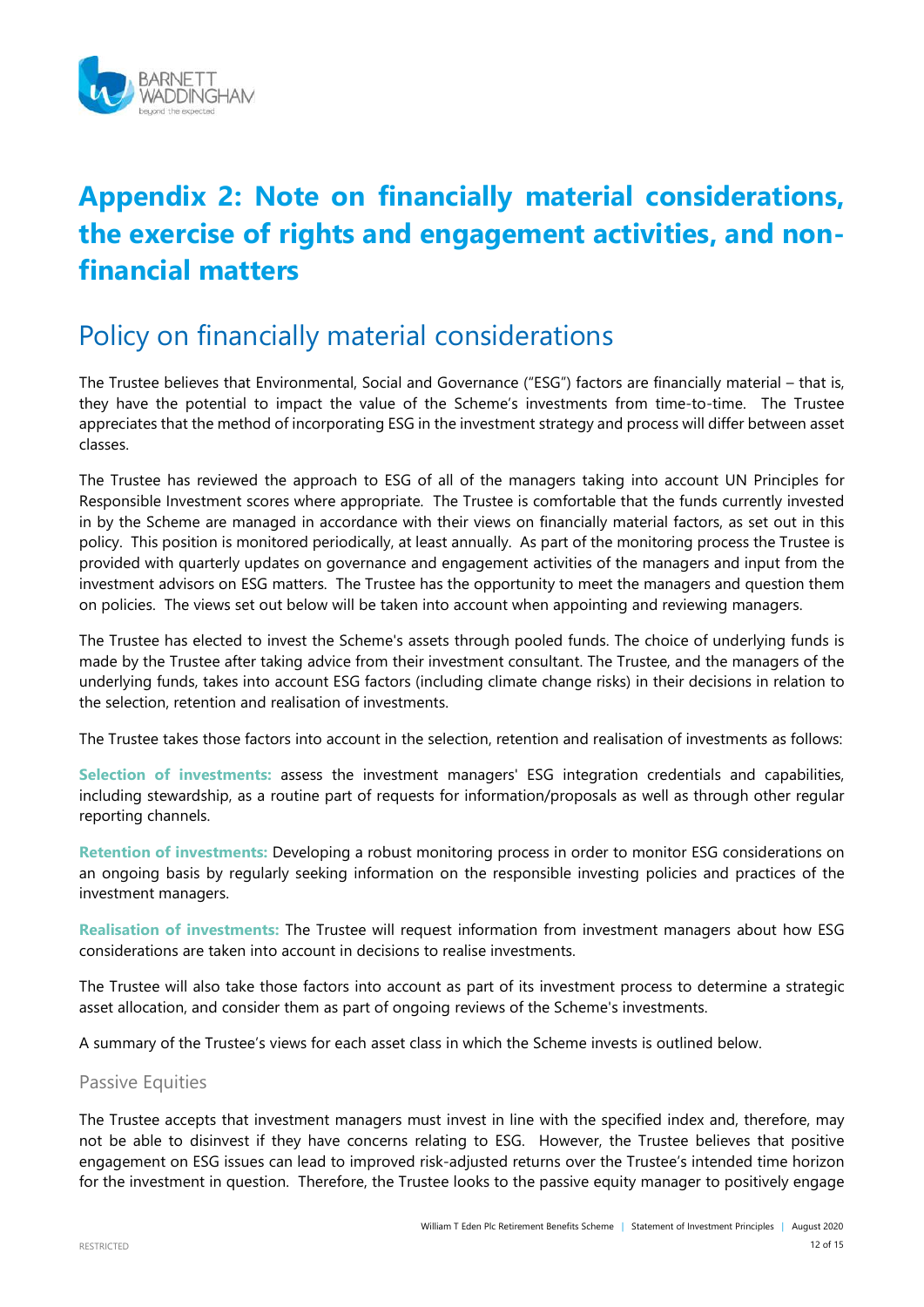

# **Appendix 2: Note on financially material considerations, the exercise of rights and engagement activities, and nonfinancial matters**

### Policy on financially material considerations

The Trustee believes that Environmental, Social and Governance ("ESG") factors are financially material – that is, they have the potential to impact the value of the Scheme's investments from time-to-time. The Trustee appreciates that the method of incorporating ESG in the investment strategy and process will differ between asset classes.

The Trustee has reviewed the approach to ESG of all of the managers taking into account UN Principles for Responsible Investment scores where appropriate. The Trustee is comfortable that the funds currently invested in by the Scheme are managed in accordance with their views on financially material factors, as set out in this policy. This position is monitored periodically, at least annually. As part of the monitoring process the Trustee is provided with quarterly updates on governance and engagement activities of the managers and input from the investment advisors on ESG matters. The Trustee has the opportunity to meet the managers and question them on policies. The views set out below will be taken into account when appointing and reviewing managers.

The Trustee has elected to invest the Scheme's assets through pooled funds. The choice of underlying funds is made by the Trustee after taking advice from their investment consultant. The Trustee, and the managers of the underlying funds, takes into account ESG factors (including climate change risks) in their decisions in relation to the selection, retention and realisation of investments.

The Trustee takes those factors into account in the selection, retention and realisation of investments as follows:

**Selection of investments:** assess the investment managers' ESG integration credentials and capabilities, including stewardship, as a routine part of requests for information/proposals as well as through other regular reporting channels.

**Retention of investments:** Developing a robust monitoring process in order to monitor ESG considerations on an ongoing basis by regularly seeking information on the responsible investing policies and practices of the investment managers.

**Realisation of investments:** The Trustee will request information from investment managers about how ESG considerations are taken into account in decisions to realise investments.

The Trustee will also take those factors into account as part of its investment process to determine a strategic asset allocation, and consider them as part of ongoing reviews of the Scheme's investments.

A summary of the Trustee's views for each asset class in which the Scheme invests is outlined below.

#### Passive Equities

The Trustee accepts that investment managers must invest in line with the specified index and, therefore, may not be able to disinvest if they have concerns relating to ESG. However, the Trustee believes that positive engagement on ESG issues can lead to improved risk-adjusted returns over the Trustee's intended time horizon for the investment in question. Therefore, the Trustee looks to the passive equity manager to positively engage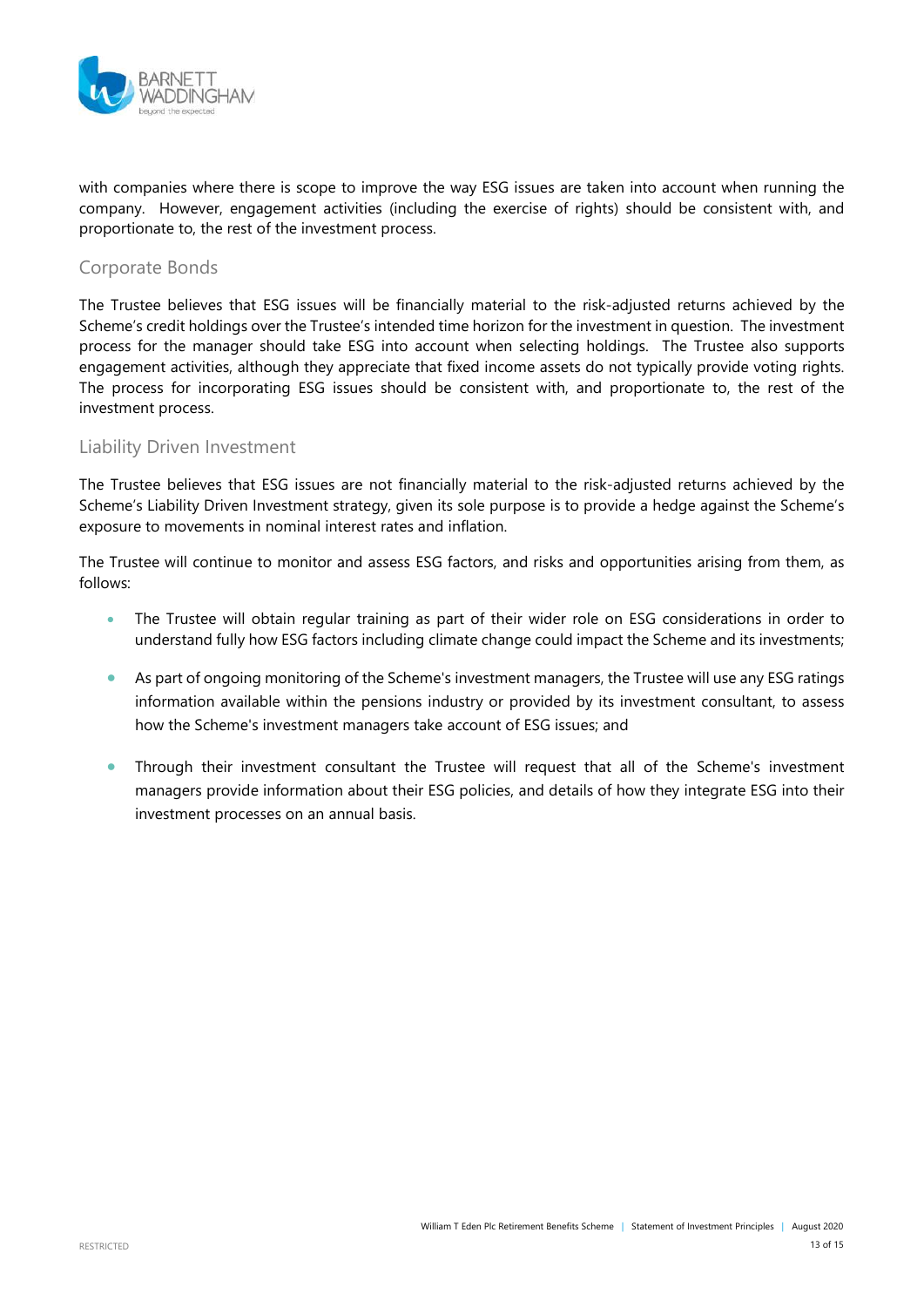

with companies where there is scope to improve the way ESG issues are taken into account when running the company. However, engagement activities (including the exercise of rights) should be consistent with, and proportionate to, the rest of the investment process.

#### Corporate Bonds

The Trustee believes that ESG issues will be financially material to the risk-adjusted returns achieved by the Scheme's credit holdings over the Trustee's intended time horizon for the investment in question. The investment process for the manager should take ESG into account when selecting holdings. The Trustee also supports engagement activities, although they appreciate that fixed income assets do not typically provide voting rights. The process for incorporating ESG issues should be consistent with, and proportionate to, the rest of the investment process.

#### Liability Driven Investment

The Trustee believes that ESG issues are not financially material to the risk-adjusted returns achieved by the Scheme's Liability Driven Investment strategy, given its sole purpose is to provide a hedge against the Scheme's exposure to movements in nominal interest rates and inflation.

The Trustee will continue to monitor and assess ESG factors, and risks and opportunities arising from them, as follows:

- The Trustee will obtain regular training as part of their wider role on ESG considerations in order to understand fully how ESG factors including climate change could impact the Scheme and its investments;
- As part of ongoing monitoring of the Scheme's investment managers, the Trustee will use any ESG ratings information available within the pensions industry or provided by its investment consultant, to assess how the Scheme's investment managers take account of ESG issues; and
- Through their investment consultant the Trustee will request that all of the Scheme's investment managers provide information about their ESG policies, and details of how they integrate ESG into their investment processes on an annual basis.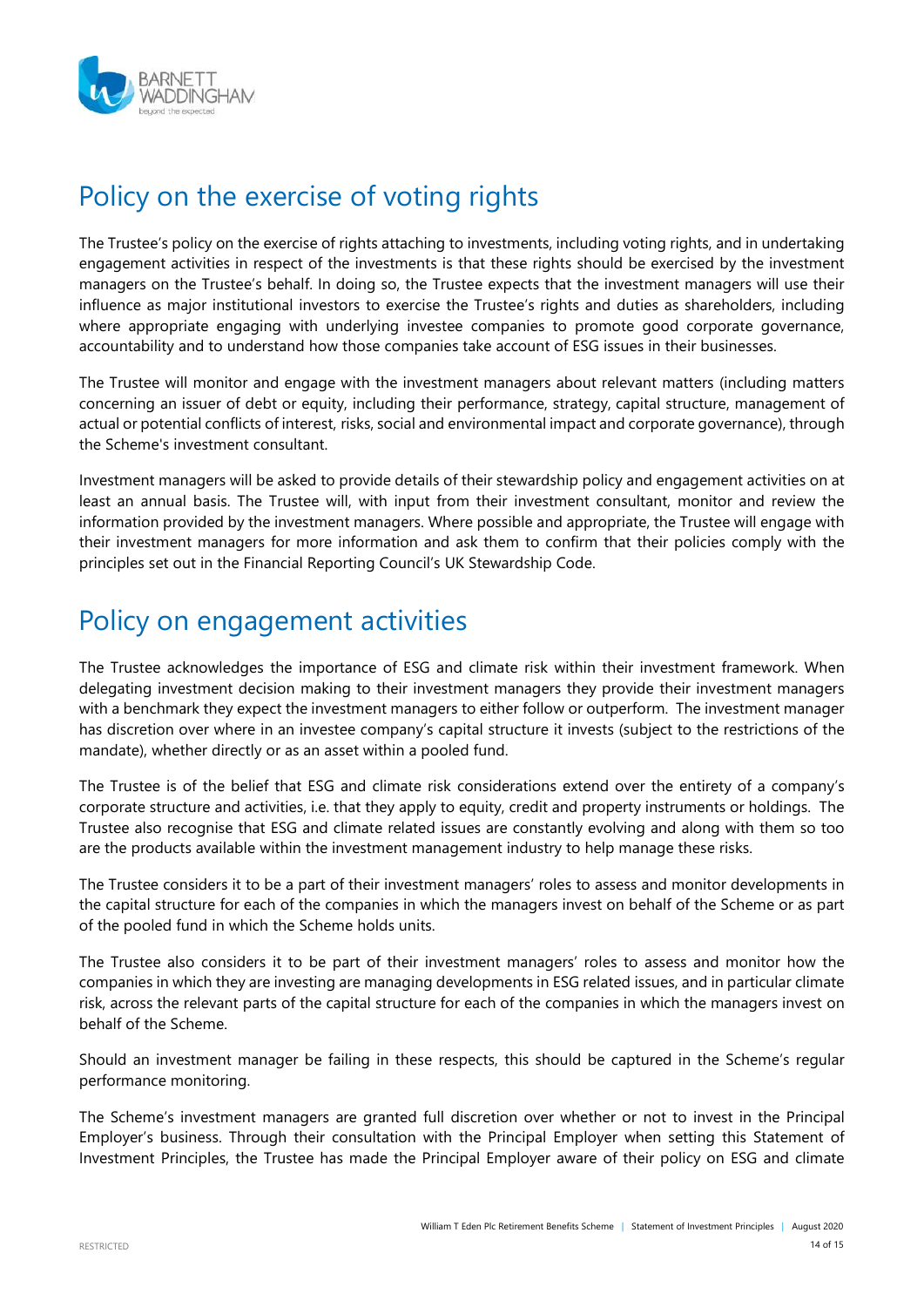

# Policy on the exercise of voting rights

The Trustee's policy on the exercise of rights attaching to investments, including voting rights, and in undertaking engagement activities in respect of the investments is that these rights should be exercised by the investment managers on the Trustee's behalf. In doing so, the Trustee expects that the investment managers will use their influence as major institutional investors to exercise the Trustee's rights and duties as shareholders, including where appropriate engaging with underlying investee companies to promote good corporate governance, accountability and to understand how those companies take account of ESG issues in their businesses.

The Trustee will monitor and engage with the investment managers about relevant matters (including matters concerning an issuer of debt or equity, including their performance, strategy, capital structure, management of actual or potential conflicts of interest, risks, social and environmental impact and corporate governance), through the Scheme's investment consultant.

Investment managers will be asked to provide details of their stewardship policy and engagement activities on at least an annual basis. The Trustee will, with input from their investment consultant, monitor and review the information provided by the investment managers. Where possible and appropriate, the Trustee will engage with their investment managers for more information and ask them to confirm that their policies comply with the principles set out in the Financial Reporting Council's UK Stewardship Code.

# Policy on engagement activities

The Trustee acknowledges the importance of ESG and climate risk within their investment framework. When delegating investment decision making to their investment managers they provide their investment managers with a benchmark they expect the investment managers to either follow or outperform. The investment manager has discretion over where in an investee company's capital structure it invests (subject to the restrictions of the mandate), whether directly or as an asset within a pooled fund.

The Trustee is of the belief that ESG and climate risk considerations extend over the entirety of a company's corporate structure and activities, i.e. that they apply to equity, credit and property instruments or holdings. The Trustee also recognise that ESG and climate related issues are constantly evolving and along with them so too are the products available within the investment management industry to help manage these risks.

The Trustee considers it to be a part of their investment managers' roles to assess and monitor developments in the capital structure for each of the companies in which the managers invest on behalf of the Scheme or as part of the pooled fund in which the Scheme holds units.

The Trustee also considers it to be part of their investment managers' roles to assess and monitor how the companies in which they are investing are managing developments in ESG related issues, and in particular climate risk, across the relevant parts of the capital structure for each of the companies in which the managers invest on behalf of the Scheme.

Should an investment manager be failing in these respects, this should be captured in the Scheme's regular performance monitoring.

The Scheme's investment managers are granted full discretion over whether or not to invest in the Principal Employer's business. Through their consultation with the Principal Employer when setting this Statement of Investment Principles, the Trustee has made the Principal Employer aware of their policy on ESG and climate